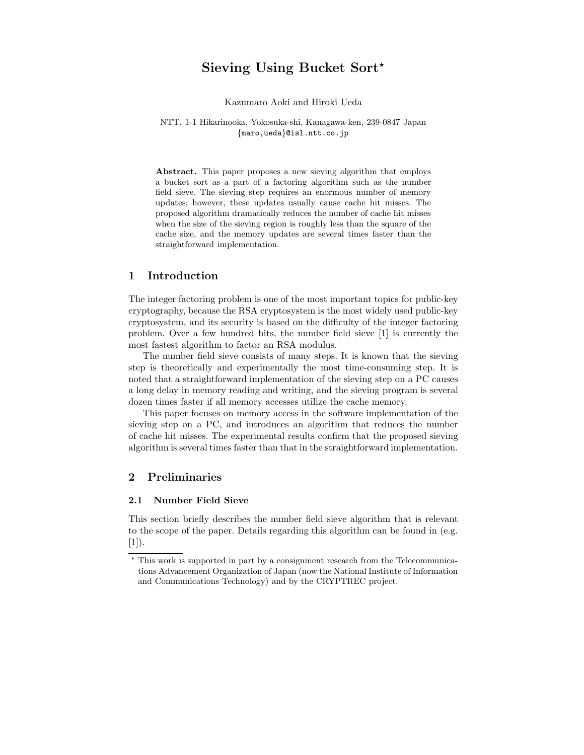# Sieving Using Bucket Sort?

Kazumaro Aoki and Hiroki Ueda

NTT, 1-1 Hikarinooka, Yokosuka-shi, Kanagawa-ken, 239-0847 Japan {maro,ueda}@isl.ntt.co.jp

Abstract. This paper proposes a new sieving algorithm that employs a bucket sort as a part of a factoring algorithm such as the number field sieve. The sieving step requires an enormous number of memory updates; however, these updates usually cause cache hit misses. The proposed algorithm dramatically reduces the number of cache hit misses when the size of the sieving region is roughly less than the square of the cache size, and the memory updates are several times faster than the straightforward implementation.

## 1 Introduction

The integer factoring problem is one of the most important topics for public-key cryptography, because the RSA cryptosystem is the most widely used public-key cryptosystem, and its security is based on the difficulty of the integer factoring problem. Over a few hundred bits, the number field sieve [1] is currently the most fastest algorithm to factor an RSA modulus.

The number field sieve consists of many steps. It is known that the sieving step is theoretically and experimentally the most time-consuming step. It is noted that a straightforward implementation of the sieving step on a PC causes a long delay in memory reading and writing, and the sieving program is several dozen times faster if all memory accesses utilize the cache memory.

This paper focuses on memory access in the software implementation of the sieving step on a PC, and introduces an algorithm that reduces the number of cache hit misses. The experimental results confirm that the proposed sieving algorithm is several times faster than that in the straightforward implementation.

# 2 Preliminaries

#### 2.1 Number Field Sieve

This section briefly describes the number field sieve algorithm that is relevant to the scope of the paper. Details regarding this algorithm can be found in (e.g.  $[1]$ .

<sup>?</sup> This work is supported in part by a consignment research from the Telecommunications Advancement Organization of Japan (now the National Institute of Information and Communications Technology) and by the CRYPTREC project.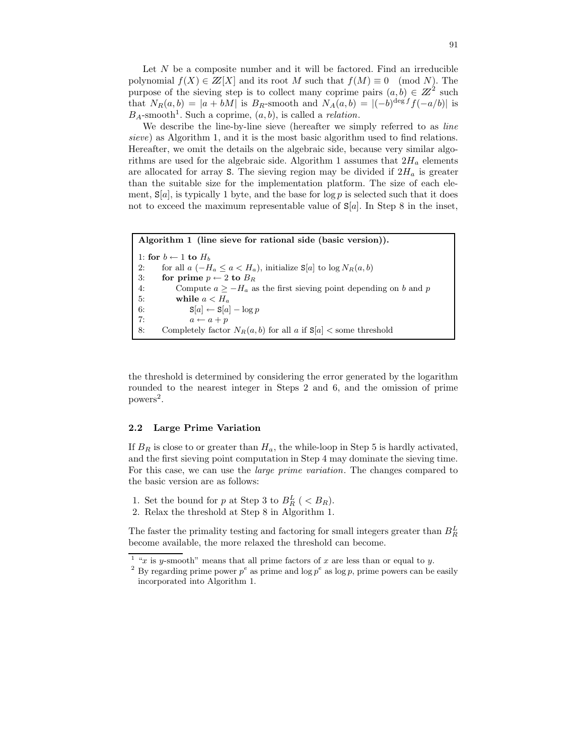Let  $N$  be a composite number and it will be factored. Find an irreducible polynomial  $f(X) \in \mathbb{Z}[X]$  and its root M such that  $f(M) \equiv 0 \pmod{N}$ . The purpose of the sieving step is to collect many coprime pairs  $(a, b) \in \mathbb{Z}^2$  such that  $N_R(a, b) = |a + bM|$  is  $B_R$ -smooth and  $N_A(a, b) = |(-b)^{\deg f}f(-a/b)|$  is  $B_A$ -smooth<sup>1</sup>. Such a coprime,  $(a, b)$ , is called a *relation*.

We describe the line-by-line sieve (hereafter we simply referred to as *line* sieve) as Algorithm 1, and it is the most basic algorithm used to find relations. Hereafter, we omit the details on the algebraic side, because very similar algorithms are used for the algebraic side. Algorithm 1 assumes that  $2H_a$  elements are allocated for array S. The sieving region may be divided if  $2H_a$  is greater than the suitable size for the implementation platform. The size of each element,  $S[a]$ , is typically 1 byte, and the base for  $\log p$  is selected such that it does not to exceed the maximum representable value of  $S[a]$ . In Step 8 in the inset,

Algorithm 1 (line sieve for rational side (basic version)). 1: for  $b \leftarrow 1$  to  $H_b$ 2: for all  $a(-H_a \le a < H_a)$ , initialize  $S[a]$  to  $\log N_R(a, b)$ 3: for prime  $p \leftarrow 2$  to  $B_R$ 4: Compute  $a \geq -H_a$  as the first sieving point depending on b and p 5: while  $a < H_a$ 6:  $S[a] \leftarrow S[a] - \log p$ 7:  $a \leftarrow a + p$ 8: Completely factor  $N_R(a, b)$  for all a if  $S[a] <$  some threshold

the threshold is determined by considering the error generated by the logarithm rounded to the nearest integer in Steps 2 and 6, and the omission of prime  $\text{powers}^2$ .

#### 2.2 Large Prime Variation

If  $B_R$  is close to or greater than  $H_a$ , the while-loop in Step 5 is hardly activated, and the first sieving point computation in Step 4 may dominate the sieving time. For this case, we can use the large prime variation. The changes compared to the basic version are as follows:

- 1. Set the bound for p at Step 3 to  $B_R^L$  (  $\langle B_R$ ).
- 2. Relax the threshold at Step 8 in Algorithm 1.

The faster the primality testing and factoring for small integers greater than  $B_R^L$ become available, the more relaxed the threshold can become.

<sup>&</sup>lt;sup>1</sup> "x is y-smooth" means that all prime factors of x are less than or equal to y.

<sup>&</sup>lt;sup>2</sup> By regarding prime power  $p^e$  as prime and log  $p^e$  as log p, prime powers can be easily incorporated into Algorithm 1.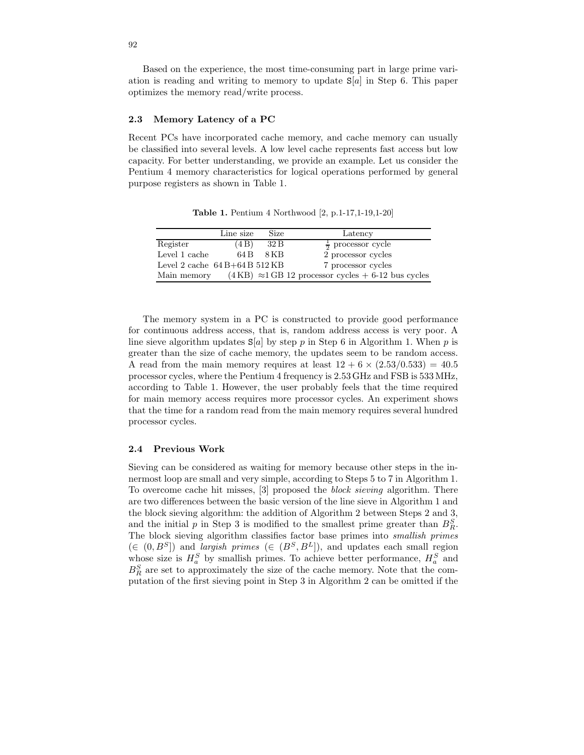Based on the experience, the most time-consuming part in large prime variation is reading and writing to memory to update  $S[a]$  in Step 6. This paper optimizes the memory read/write process.

#### 2.3 Memory Latency of a PC

Recent PCs have incorporated cache memory, and cache memory can usually be classified into several levels. A low level cache represents fast access but low capacity. For better understanding, we provide an example. Let us consider the Pentium 4 memory characteristics for logical operations performed by general purpose registers as shown in Table 1.

|                              | Line size | Size   | Latency                                                                                     |
|------------------------------|-----------|--------|---------------------------------------------------------------------------------------------|
| Register                     | (4B)      | 32B    | $\frac{1}{2}$ processor cycle                                                               |
| Level 1 cache                | 64 B      | $8$ KB | 2 processor cycles                                                                          |
| Level 2 cache $64B+64B512KB$ |           |        | 7 processor cycles                                                                          |
| Main memory                  |           |        | $(4 \text{ KB}) \approx 1 \text{ GB} 12 \text{ processor cycles} + 6-12 \text{ bus cycles}$ |

Table 1. Pentium 4 Northwood [2, p.1-17,1-19,1-20]

The memory system in a PC is constructed to provide good performance for continuous address access, that is, random address access is very poor. A line sieve algorithm updates  $S[a]$  by step p in Step 6 in Algorithm 1. When p is greater than the size of cache memory, the updates seem to be random access. A read from the main memory requires at least  $12 + 6 \times (2.53/0.533) = 40.5$ processor cycles, where the Pentium 4 frequency is 2.53GHz and FSB is 533 MHz, according to Table 1. However, the user probably feels that the time required for main memory access requires more processor cycles. An experiment shows that the time for a random read from the main memory requires several hundred processor cycles.

#### 2.4 Previous Work

Sieving can be considered as waiting for memory because other steps in the innermost loop are small and very simple, according to Steps 5 to 7 in Algorithm 1. To overcome cache hit misses, [3] proposed the block sieving algorithm. There are two differences between the basic version of the line sieve in Algorithm 1 and the block sieving algorithm: the addition of Algorithm 2 between Steps 2 and 3, and the initial  $p$  in Step 3 is modified to the smallest prime greater than  $B_R^S$ . The block sieving algorithm classifies factor base primes into smallish primes  $(\in (0, B<sup>S</sup>])$  and *largish primes*  $(\in (B<sup>S</sup>, B<sup>L</sup>])$ , and updates each small region whose size is  $H_a^S$  by smallish primes. To achieve better performance,  $H_a^S$  and  $B_R^S$  are set to approximately the size of the cache memory. Note that the computation of the first sieving point in Step 3 in Algorithm 2 can be omitted if the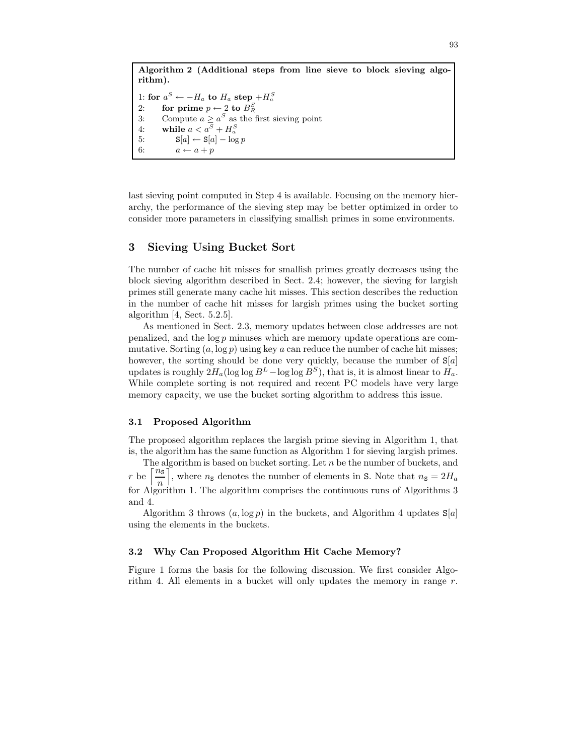Algorithm 2 (Additional steps from line sieve to block sieving algorithm). 1: for  $a^S \leftarrow -H_a$  to  $H_a$  step  $+H_a^S$ 2: for prime  $p \leftarrow 2$  to  $\overline{B_R^S}$ 

3: Compute  $a \geq a^S$  as the first sieving point

4: while  $a < a^{\overline{S}} + H^S_a$ 

$$
5: \qquad \qquad \mathbf{S}[a] \leftarrow \mathbf{S}[a] - \log p
$$

```
6: a \leftarrow a + p
```
last sieving point computed in Step 4 is available. Focusing on the memory hierarchy, the performance of the sieving step may be better optimized in order to consider more parameters in classifying smallish primes in some environments.

# 3 Sieving Using Bucket Sort

The number of cache hit misses for smallish primes greatly decreases using the block sieving algorithm described in Sect. 2.4; however, the sieving for largish primes still generate many cache hit misses. This section describes the reduction in the number of cache hit misses for largish primes using the bucket sorting algorithm [4, Sect. 5.2.5].

As mentioned in Sect. 2.3, memory updates between close addresses are not penalized, and the  $log p$  minuses which are memory update operations are commutative. Sorting  $(a, \log p)$  using key a can reduce the number of cache hit misses; however, the sorting should be done very quickly, because the number of  $S[a]$ updates is roughly  $2H_a(\log \log B^L - \log \log B^S)$ , that is, it is almost linear to  $H_a$ . While complete sorting is not required and recent PC models have very large memory capacity, we use the bucket sorting algorithm to address this issue.

## 3.1 Proposed Algorithm

The proposed algorithm replaces the largish prime sieving in Algorithm 1, that is, the algorithm has the same function as Algorithm 1 for sieving largish primes.

The algorithm is based on bucket sorting. Let  $n$  be the number of buckets, and r be  $\lceil \frac{n_{\rm S}}{n} \rceil$ n , where  $n_s$  denotes the number of elements in S. Note that  $n_s = 2H_a$ for Algorithm 1. The algorithm comprises the continuous runs of Algorithms 3 and 4.

Algorithm 3 throws  $(a, \log p)$  in the buckets, and Algorithm 4 updates  $S[a]$ using the elements in the buckets.

#### 3.2 Why Can Proposed Algorithm Hit Cache Memory?

Figure 1 forms the basis for the following discussion. We first consider Algorithm 4. All elements in a bucket will only updates the memory in range  $r$ .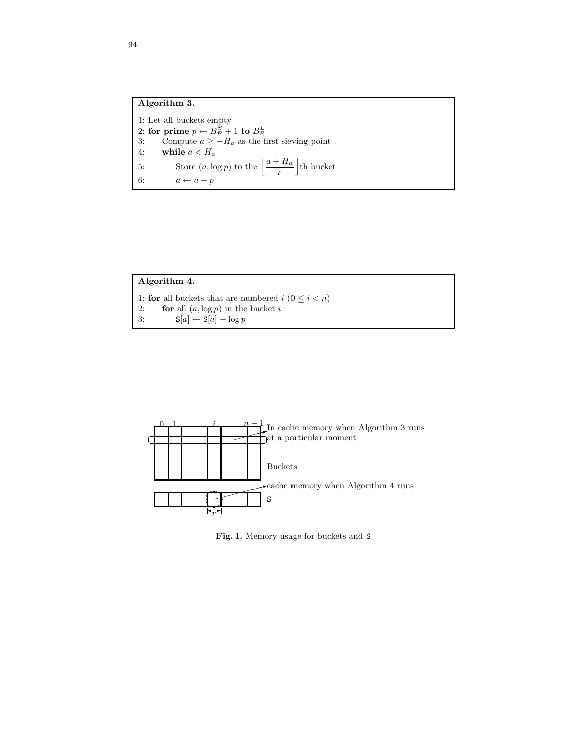# Algorithm 3.

1: Let all buckets empty 2: **for prime**  $p \leftarrow B_R^{\overline{S}} + 1$  **to**  $B_R^L$ <br>3: Compute  $a \ge -H_a$  as the first sieving point 4: while  $a < H_a$ 5: Store  $(a, \log p)$  to the  $\left| \frac{a + H_a}{a} \right|$ r k th bucket 6:  $a \leftarrow a + p$ 

| Algorithm 4.                                                                                                                                         |  |
|------------------------------------------------------------------------------------------------------------------------------------------------------|--|
| 1: for all buckets that are numbered $i$ $(0 \leq i < n)$<br>for all $(a, \log p)$ in the bucket i<br>2:<br>$S[a] \leftarrow S[a] - \log p$<br>$-3:$ |  |



Fig. 1. Memory usage for buckets and S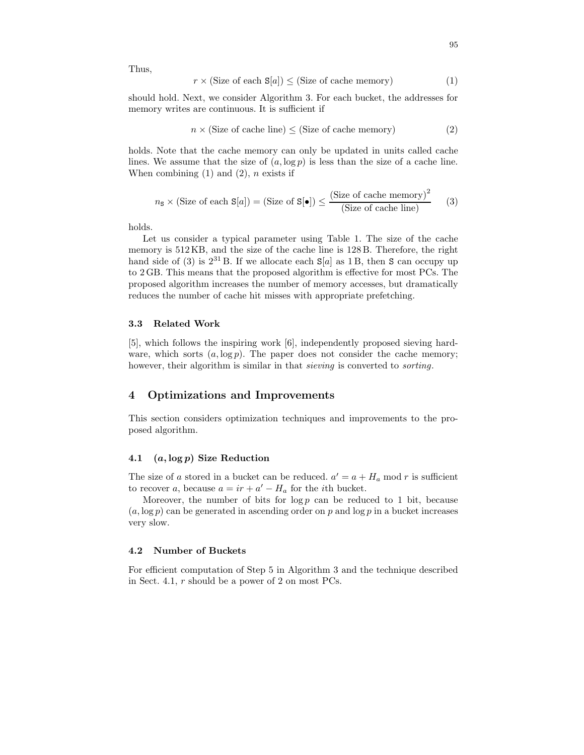Thus,

$$
r \times (\text{Size of each } \mathbf{S}[a]) \le (\text{Size of cache memory}) \tag{1}
$$

should hold. Next, we consider Algorithm 3. For each bucket, the addresses for memory writes are continuous. It is sufficient if

$$
n \times (\text{Size of cache line}) \le (\text{Size of cache memory}) \tag{2}
$$

holds. Note that the cache memory can only be updated in units called cache lines. We assume that the size of  $(a, \log p)$  is less than the size of a cache line. When combining  $(1)$  and  $(2)$ , n exists if

$$
n_{\mathbf{S}} \times (\text{Size of each } \mathbf{S}[a]) = (\text{Size of } \mathbf{S}[\bullet]) \le \frac{(\text{Size of cache memory})^2}{(\text{Size of cache line})}
$$
(3)

holds.

Let us consider a typical parameter using Table 1. The size of the cache memory is 512KB, and the size of the cache line is 128 B. Therefore, the right hand side of (3) is  $2^{31}$  B. If we allocate each  $S[a]$  as 1 B, then S can occupy up to 2 GB. This means that the proposed algorithm is effective for most PCs. The proposed algorithm increases the number of memory accesses, but dramatically reduces the number of cache hit misses with appropriate prefetching.

#### 3.3 Related Work

[5], which follows the inspiring work [6], independently proposed sieving hardware, which sorts  $(a, \log p)$ . The paper does not consider the cache memory; however, their algorithm is similar in that *sieving* is converted to *sorting*.

## 4 Optimizations and Improvements

This section considers optimization techniques and improvements to the proposed algorithm.

#### 4.1  $(a, \log p)$  Size Reduction

The size of a stored in a bucket can be reduced.  $a' = a + H_a \text{ mod } r$  is sufficient to recover a, because  $a = ir + a' - H_a$  for the *i*th bucket.

Moreover, the number of bits for  $\log p$  can be reduced to 1 bit, because  $(a, \log p)$  can be generated in ascending order on p and  $\log p$  in a bucket increases very slow.

#### 4.2 Number of Buckets

For efficient computation of Step 5 in Algorithm 3 and the technique described in Sect. 4.1, r should be a power of 2 on most PCs.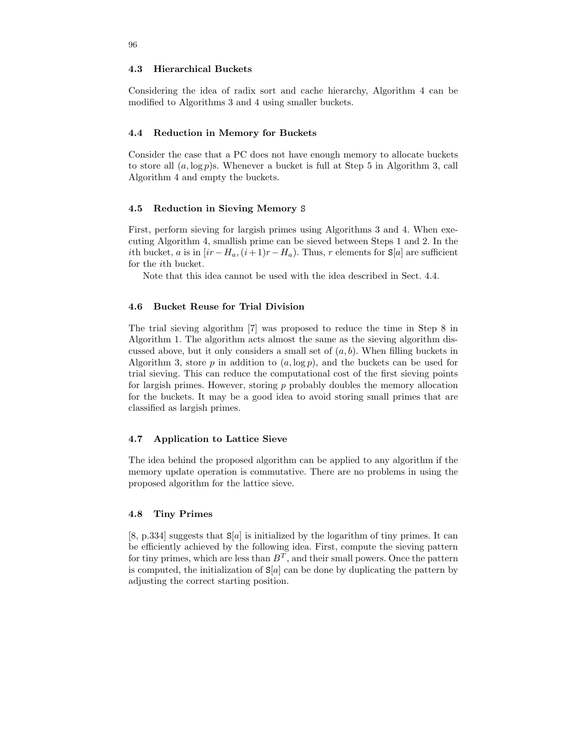#### 4.3 Hierarchical Buckets

Considering the idea of radix sort and cache hierarchy, Algorithm 4 can be modified to Algorithms 3 and 4 using smaller buckets.

#### 4.4 Reduction in Memory for Buckets

Consider the case that a PC does not have enough memory to allocate buckets to store all  $(a, \log p)$ s. Whenever a bucket is full at Step 5 in Algorithm 3, call Algorithm 4 and empty the buckets.

#### 4.5 Reduction in Sieving Memory S

First, perform sieving for largish primes using Algorithms 3 and 4. When executing Algorithm 4, smallish prime can be sieved between Steps 1 and 2. In the ith bucket, a is in  $[ir - H_a, (i+1)r - H_a)$ . Thus, r elements for  $S[a]$  are sufficient for the ith bucket.

Note that this idea cannot be used with the idea described in Sect. 4.4.

## 4.6 Bucket Reuse for Trial Division

The trial sieving algorithm [7] was proposed to reduce the time in Step 8 in Algorithm 1. The algorithm acts almost the same as the sieving algorithm discussed above, but it only considers a small set of  $(a, b)$ . When filling buckets in Algorithm 3, store p in addition to  $(a, \log p)$ , and the buckets can be used for trial sieving. This can reduce the computational cost of the first sieving points for largish primes. However, storing  $p$  probably doubles the memory allocation for the buckets. It may be a good idea to avoid storing small primes that are classified as largish primes.

#### 4.7 Application to Lattice Sieve

The idea behind the proposed algorithm can be applied to any algorithm if the memory update operation is commutative. There are no problems in using the proposed algorithm for the lattice sieve.

#### 4.8 Tiny Primes

[8, p.334] suggests that  $S[a]$  is initialized by the logarithm of tiny primes. It can be efficiently achieved by the following idea. First, compute the sieving pattern for tiny primes, which are less than  $B<sup>T</sup>$ , and their small powers. Once the pattern is computed, the initialization of  $S[a]$  can be done by duplicating the pattern by adjusting the correct starting position.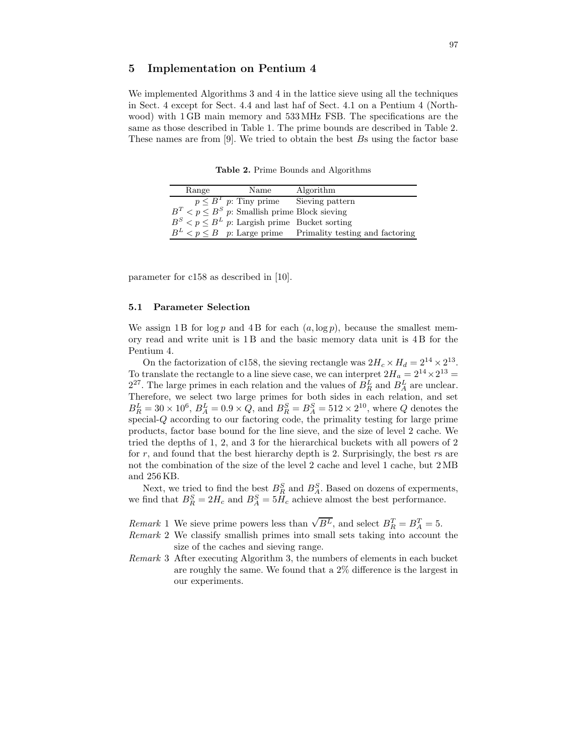# 5 Implementation on Pentium 4

We implemented Algorithms 3 and 4 in the lattice sieve using all the techniques in Sect. 4 except for Sect. 4.4 and last haf of Sect. 4.1 on a Pentium 4 (Northwood) with 1 GB main memory and 533MHz FSB. The specifications are the same as those described in Table 1. The prime bounds are described in Table 2. These names are from [9]. We tried to obtain the best Bs using the factor base

Table 2. Prime Bounds and Algorithms

| Range | Name                                               | Algorithm                                                       |
|-------|----------------------------------------------------|-----------------------------------------------------------------|
|       | $p \leq B^T$ p: Tiny prime Sieving pattern         |                                                                 |
|       | $BT < p \le BS$ p: Smallish prime Block sieving    |                                                                 |
|       | $B^S < p \leq B^L$ p: Largish prime Bucket sorting |                                                                 |
|       |                                                    | $B^L < p \leq B$ p: Large prime Primality testing and factoring |

parameter for c158 as described in [10].

#### 5.1 Parameter Selection

We assign 1 B for  $\log p$  and 4 B for each  $(a, \log p)$ , because the smallest memory read and write unit is 1 B and the basic memory data unit is 4 B for the Pentium 4.

On the factorization of c158, the sieving rectangle was  $2H_c \times H_d = 2^{14} \times 2^{13}$ . To translate the rectangle to a line sieve case, we can interpret  $2H_a = 2^{14} \times 2^{13} =$  $2^{27}$ . The large primes in each relation and the values of  $B_R^L$  and  $B_A^L$  are unclear. Therefore, we select two large primes for both sides in each relation, and set  $B_R^L = 30 \times 10^6$ ,  $B_A^L = 0.9 \times Q$ , and  $B_R^S = B_A^S = 512 \times 2^{10}$ , where Q denotes the special-Q according to our factoring code, the primality testing for large prime products, factor base bound for the line sieve, and the size of level 2 cache. We tried the depths of 1, 2, and 3 for the hierarchical buckets with all powers of 2 for  $r$ , and found that the best hierarchy depth is 2. Surprisingly, the best  $rs$  are not the combination of the size of the level 2 cache and level 1 cache, but 2 MB and 256 KB.

Next, we tried to find the best  $B_R^S$  and  $B_A^S$ . Based on dozens of experments, we find that  $B_R^S = 2H_c$  and  $B_A^S = 5H_c$  achieve almost the best performance.

*Remark* 1 We sieve prime powers less than  $\sqrt{B^L}$ , and select  $B_R^T = B_A^T = 5$ .

- Remark 2 We classify smallish primes into small sets taking into account the size of the caches and sieving range.
- Remark 3 After executing Algorithm 3, the numbers of elements in each bucket are roughly the same. We found that a 2% difference is the largest in our experiments.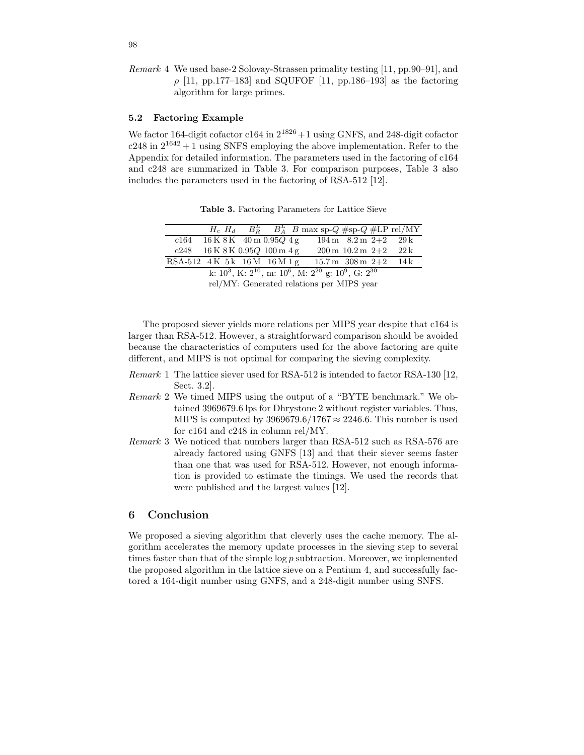Remark 4 We used base-2 Solovay-Strassen primality testing [11, pp.90–91], and  $\rho$  [11, pp.177–183] and SQUFOF [11, pp.186–193] as the factoring algorithm for large primes.

## 5.2 Factoring Example

We factor 164-digit cofactor  $c164$  in  $2^{1826}+1$  using GNFS, and 248-digit cofactor  $c248$  in  $2^{1642} + 1$  using SNFS employing the above implementation. Refer to the Appendix for detailed information. The parameters used in the factoring of c164 and c248 are summarized in Table 3. For comparison purposes, Table 3 also includes the parameters used in the factoring of RSA-512 [12].

Table 3. Factoring Parameters for Lattice Sieve

|                                                                           |  |  |  |  |  | $H_c$ $H_d$ $B_R^L$ $B_A^L$ B max sp-Q #sp-Q #LP rel/MY |                                                      |        |
|---------------------------------------------------------------------------|--|--|--|--|--|---------------------------------------------------------|------------------------------------------------------|--------|
| c164 $16K8K40m0.95Q4g$                                                    |  |  |  |  |  |                                                         | $194 \text{ m}$ $8.2 \text{ m}$ $2+2$ $29 \text{ k}$ |        |
| $c248$ 16 K 8 K 0.95 Q 100 m 4 g                                          |  |  |  |  |  |                                                         | $200 \,\mathrm{m}$ 10.2 m $2+2$                      | $-22k$ |
| RSA-512 4K 5k 16M 16M 1g                                                  |  |  |  |  |  | $15.7 \text{ m}$ 308 m $2+2$ 14 k                       |                                                      |        |
| k: $10^3$ , K: $2^{10}$ , m: $10^6$ , M: $2^{20}$ g: $10^9$ , G: $2^{30}$ |  |  |  |  |  |                                                         |                                                      |        |

rel/MY: Generated relations per MIPS year

The proposed siever yields more relations per MIPS year despite that c164 is larger than RSA-512. However, a straightforward comparison should be avoided because the characteristics of computers used for the above factoring are quite different, and MIPS is not optimal for comparing the sieving complexity.

- Remark 1 The lattice siever used for RSA-512 is intended to factor RSA-130 [12, Sect. 3.2].
- Remark 2 We timed MIPS using the output of a "BYTE benchmark." We obtained 3969679.6 lps for Dhrystone 2 without register variables. Thus, MIPS is computed by 3969679.6/1767  $\approx$  2246.6. This number is used for c164 and c248 in column rel/MY.
- Remark 3 We noticed that numbers larger than RSA-512 such as RSA-576 are already factored using GNFS [13] and that their siever seems faster than one that was used for RSA-512. However, not enough information is provided to estimate the timings. We used the records that were published and the largest values [12].

# 6 Conclusion

We proposed a sieving algorithm that cleverly uses the cache memory. The algorithm accelerates the memory update processes in the sieving step to several times faster than that of the simple  $\log p$  subtraction. Moreover, we implemented the proposed algorithm in the lattice sieve on a Pentium 4, and successfully factored a 164-digit number using GNFS, and a 248-digit number using SNFS.

98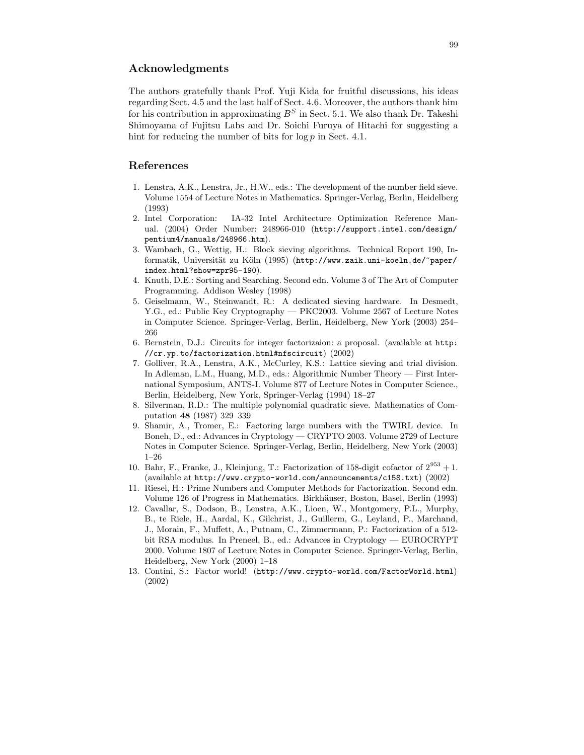# Acknowledgments

The authors gratefully thank Prof. Yuji Kida for fruitful discussions, his ideas regarding Sect. 4.5 and the last half of Sect. 4.6. Moreover, the authors thank him for his contribution in approximating  $B<sup>S</sup>$  in Sect. 5.1. We also thank Dr. Takeshi Shimoyama of Fujitsu Labs and Dr. Soichi Furuya of Hitachi for suggesting a hint for reducing the number of bits for  $\log p$  in Sect. 4.1.

## References

- 1. Lenstra, A.K., Lenstra, Jr., H.W., eds.: The development of the number field sieve. Volume 1554 of Lecture Notes in Mathematics. Springer-Verlag, Berlin, Heidelberg (1993)
- 2. Intel Corporation: IA-32 Intel Architecture Optimization Reference Manual. (2004) Order Number: 248966-010 (http://support.intel.com/design/ pentium4/manuals/248966.htm).
- 3. Wambach, G., Wettig, H.: Block sieving algorithms. Technical Report 190, Informatik, Universität zu Köln (1995) (http://www.zaik.uni-koeln.de/~paper/ index.html?show=zpr95-190).
- 4. Knuth, D.E.: Sorting and Searching. Second edn. Volume 3 of The Art of Computer Programming. Addison Wesley (1998)
- 5. Geiselmann, W., Steinwandt, R.: A dedicated sieving hardware. In Desmedt, Y.G., ed.: Public Key Cryptography — PKC2003. Volume 2567 of Lecture Notes in Computer Science. Springer-Verlag, Berlin, Heidelberg, New York (2003) 254– 266
- 6. Bernstein, D.J.: Circuits for integer factorizaion: a proposal. (available at http: //cr.yp.to/factorization.html#nfscircuit) (2002)
- 7. Golliver, R.A., Lenstra, A.K., McCurley, K.S.: Lattice sieving and trial division. In Adleman, L.M., Huang, M.D., eds.: Algorithmic Number Theory — First International Symposium, ANTS-I. Volume 877 of Lecture Notes in Computer Science., Berlin, Heidelberg, New York, Springer-Verlag (1994) 18–27
- 8. Silverman, R.D.: The multiple polynomial quadratic sieve. Mathematics of Computation 48 (1987) 329–339
- 9. Shamir, A., Tromer, E.: Factoring large numbers with the TWIRL device. In Boneh, D., ed.: Advances in Cryptology — CRYPTO 2003. Volume 2729 of Lecture Notes in Computer Science. Springer-Verlag, Berlin, Heidelberg, New York (2003) 1–26
- 10. Bahr, F., Franke, J., Kleinjung, T.: Factorization of 158-digit cofactor of  $2^{953} + 1$ . (available at http://www.crypto-world.com/announcements/c158.txt) (2002)
- 11. Riesel, H.: Prime Numbers and Computer Methods for Factorization. Second edn. Volume 126 of Progress in Mathematics. Birkh¨auser, Boston, Basel, Berlin (1993)
- 12. Cavallar, S., Dodson, B., Lenstra, A.K., Lioen, W., Montgomery, P.L., Murphy, B., te Riele, H., Aardal, K., Gilchrist, J., Guillerm, G., Leyland, P., Marchand, J., Morain, F., Muffett, A., Putnam, C., Zimmermann, P.: Factorization of a 512 bit RSA modulus. In Preneel, B., ed.: Advances in Cryptology — EUROCRYPT 2000. Volume 1807 of Lecture Notes in Computer Science. Springer-Verlag, Berlin, Heidelberg, New York (2000) 1–18
- 13. Contini, S.: Factor world! (http://www.crypto-world.com/FactorWorld.html) (2002)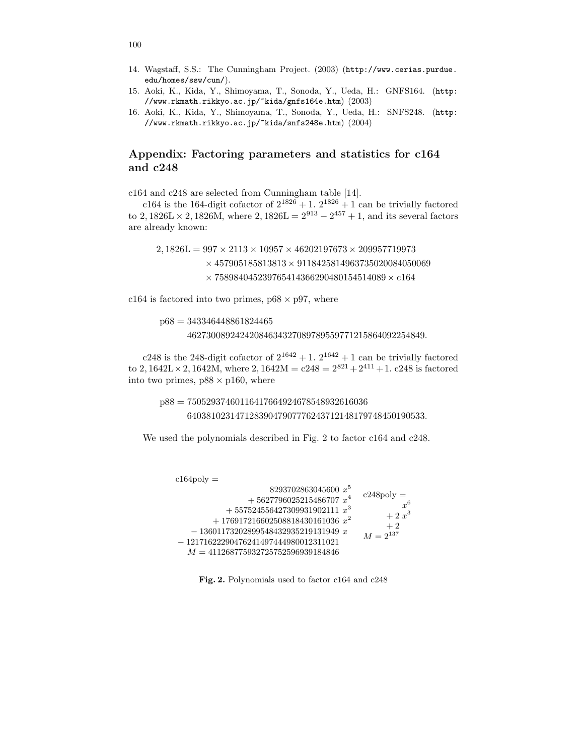- 14. Wagstaff, S.S.: The Cunningham Project. (2003) (http://www.cerias.purdue. edu/homes/ssw/cun/).
- 15. Aoki, K., Kida, Y., Shimoyama, T., Sonoda, Y., Ueda, H.: GNFS164. (http: //www.rkmath.rikkyo.ac.jp/~kida/gnfs164e.htm) (2003)
- 16. Aoki, K., Kida, Y., Shimoyama, T., Sonoda, Y., Ueda, H.: SNFS248. (http: //www.rkmath.rikkyo.ac.jp/~kida/snfs248e.htm) (2004)

# Appendix: Factoring parameters and statistics for c164 and c248

c164 and c248 are selected from Cunningham table [14].

c164 is the 164-digit cofactor of  $2^{1826} + 1$ .  $2^{1826} + 1$  can be trivially factored to 2,  $1826L \times 2$ ,  $1826M$ , where  $2$ ,  $1826L = 2^{913} - 2^{457} + 1$ , and its several factors are already known:

 $2,1826L = 997 \times 2113 \times 10957 \times 46202197673 \times 209957719973$  $\times$  457905185813813  $\times$  9118425814963735020084050069  $\times$  758984045239765414366290480154514089  $\times$  c164

c164 is factored into two primes,  $p68 \times p97$ , where

p68 = 343346448861824465 46273008924242084634327089789559771215864092254849.

 $c248$  is the 248-digit cofactor of  $2^{1642} + 1$ .  $2^{1642} + 1$  can be trivially factored to 2,  $1642L \times 2$ ,  $1642M$ , where  $2$ ,  $1642M = c248 = 2^{821} + 2^{411} + 1$ .  $c248$  is factored into two primes,  $p88 \times p160$ , where

p88 = 75052937460116417664924678548932616036 64038102314712839047907776243712148179748450190533.

We used the polynomials described in Fig. 2 to factor c164 and c248.

```
c164poly =8293702863045600 x^5+ 5627796025215486707 x<sup>4</sup>+ 557524556427309931902111 x<sup>3</sup>+176917216602508818430161036 x^2-13601173202899548432935219131949 x− 12171622290476241497444980012311021
M = 411268775932725752596939184846c248poly =x^6+2x^3+2M = 2^{137}
```
Fig. 2. Polynomials used to factor c164 and c248